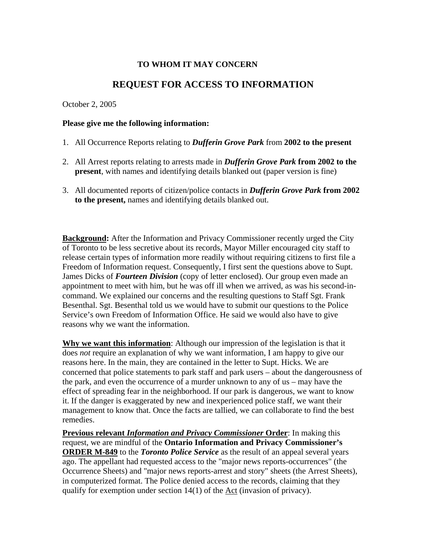## **TO WHOM IT MAY CONCERN**

# **REQUEST FOR ACCESS TO INFORMATION**

#### October 2, 2005

#### **Please give me the following information:**

- 1. All Occurrence Reports relating to *Dufferin Grove Park* from **2002 to the present**
- 2. All Arrest reports relating to arrests made in *Dufferin Grove Park* **from 2002 to the present**, with names and identifying details blanked out (paper version is fine)
- 3. All documented reports of citizen/police contacts in *Dufferin Grove Park* **from 2002 to the present,** names and identifying details blanked out.

**Background:** After the Information and Privacy Commissioner recently urged the City of Toronto to be less secretive about its records, Mayor Miller encouraged city staff to release certain types of information more readily without requiring citizens to first file a Freedom of Information request. Consequently, I first sent the questions above to Supt. James Dicks of *Fourteen Division* (copy of letter enclosed). Our group even made an appointment to meet with him, but he was off ill when we arrived, as was his second-incommand. We explained our concerns and the resulting questions to Staff Sgt. Frank Besenthal. Sgt. Besenthal told us we would have to submit our questions to the Police Service's own Freedom of Information Office. He said we would also have to give reasons why we want the information.

**Why we want this information**: Although our impression of the legislation is that it does *not* require an explanation of why we want information, I am happy to give our reasons here. In the main, they are contained in the letter to Supt. Hicks. We are concerned that police statements to park staff and park users – about the dangerousness of the park, and even the occurrence of a murder unknown to any of us – may have the effect of spreading fear in the neighborhood. If our park is dangerous, we want to know it. If the danger is exaggerated by new and inexperienced police staff, we want their management to know that. Once the facts are tallied, we can collaborate to find the best remedies.

**Previous relevant** *Information and Privacy Commissioner* **Order**: In making this request, we are mindful of the **Ontario Information and Privacy Commissioner's ORDER M-849** to the *Toronto Police Service* as the result of an appeal several years ago. The appellant had requested access to the "major news reports-occurrences" (the Occurrence Sheets) and "major news reports-arrest and story" sheets (the Arrest Sheets), in computerized format. The Police denied access to the records, claiming that they qualify for exemption under section 14(1) of the Act (invasion of privacy).